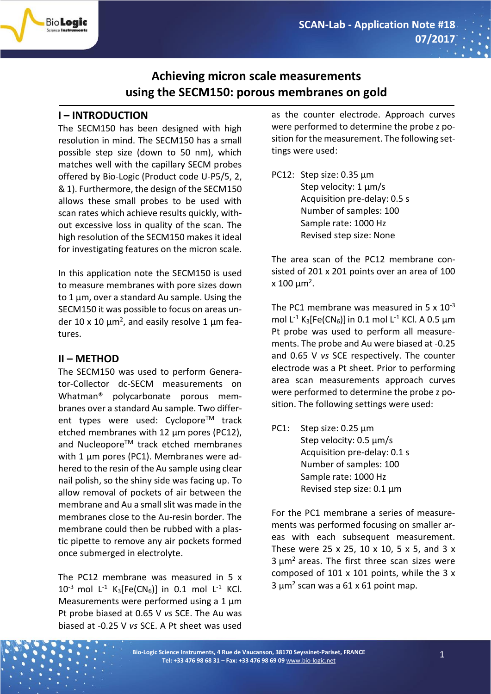# **Achieving micron scale measurements using the SECM150: porous membranes on gold**

## **I – INTRODUCTION**

BioLogic

The SECM150 has been designed with high resolution in mind. The SECM150 has a small possible step size (down to 50 nm), which matches well with the capillary SECM probes offered by Bio-Logic (Product code U-P5/5, 2, & 1). Furthermore, the design of the SECM150 allows these small probes to be used with scan rates which achieve results quickly, without excessive loss in quality of the scan. The high resolution of the SECM150 makes it ideal for investigating features on the micron scale.

In this application note the SECM150 is used to measure membranes with pore sizes down to 1 µm, over a standard Au sample. Using the SECM150 it was possible to focus on areas under 10 x 10  $\mu$ m<sup>2</sup>, and easily resolve 1  $\mu$ m features.

### **II – METHOD**

The SECM150 was used to perform Generator-Collector dc-SECM measurements on Whatman® polycarbonate porous membranes over a standard Au sample. Two different types were used: Cyclopore™ track etched membranes with 12 µm pores (PC12), and Nucleopore™ track etched membranes with 1 um pores (PC1). Membranes were adhered to the resin of the Au sample using clear nail polish, so the shiny side was facing up. To allow removal of pockets of air between the membrane and Au a small slit was made in the membranes close to the Au-resin border. The membrane could then be rubbed with a plastic pipette to remove any air pockets formed once submerged in electrolyte.

The PC12 membrane was measured in 5 x  $10^{-3}$  mol L<sup>-1</sup> K<sub>3</sub>[Fe(CN<sub>6</sub>)] in 0.1 mol L<sup>-1</sup> KCl. Measurements were performed using a 1 um Pt probe biased at 0.65 V *vs* SCE. The Au was biased at -0.25 V *vs* SCE. A Pt sheet was used

as the counter electrode. Approach curves were performed to determine the probe z position for the measurement. The following settings were used:

PC12: Step size: 0.35 µm Step velocity: 1 um/s Acquisition pre-delay: 0.5 s Number of samples: 100 Sample rate: 1000 Hz Revised step size: None

The area scan of the PC12 membrane consisted of 201 x 201 points over an area of 100 x 100  $\mu$ m<sup>2</sup>.

The PC1 membrane was measured in  $5 \times 10^{-3}$ mol L<sup>-1</sup> K<sub>3</sub>[Fe(CN<sub>6</sub>)] in 0.1 mol L<sup>-1</sup> KCl. A 0.5 µm Pt probe was used to perform all measurements. The probe and Au were biased at -0.25 and 0.65 V *vs* SCE respectively. The counter electrode was a Pt sheet. Prior to performing area scan measurements approach curves were performed to determine the probe z position. The following settings were used:

PC1: Step size: 0.25 µm Step velocity: 0.5 µm/s Acquisition pre-delay: 0.1 s Number of samples: 100 Sample rate: 1000 Hz Revised step size: 0.1 µm

For the PC1 membrane a series of measurements was performed focusing on smaller areas with each subsequent measurement. These were 25 x 25, 10 x 10, 5 x 5, and 3 x  $3 \mu m^2$  areas. The first three scan sizes were composed of 101 x 101 points, while the 3 x  $3 \mu m^2$  scan was a 61 x 61 point map.

**Bio-Logic Science Instruments, 4 Rue de Vaucanson, 38170 Seyssinet-Pariset, FRANCE Tel: +33 476 98 68 31 – Fax: +33 476 98 69 09** [www.bio-logic.net](http://www.bio-logic.net/)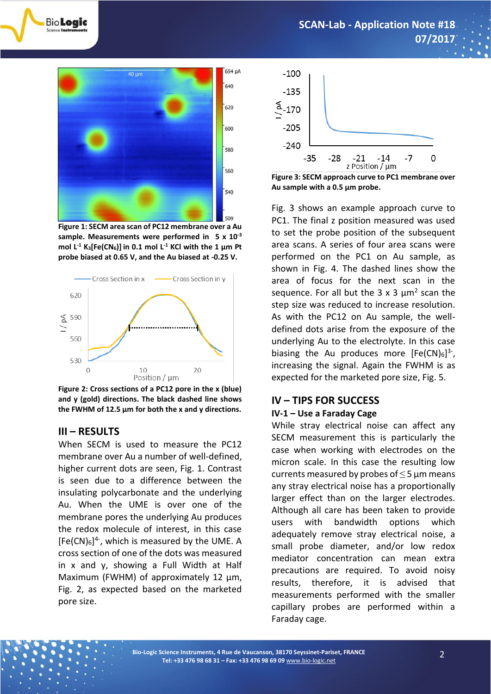



BioLogic

**Figure 1: SECM area scan of PC12 membrane over a Au sample. Measurements were performed in 5 x 10-3 mol L-1 K3[Fe(CN6)] in 0.1 mol L-1 KCl with the 1 µm Pt probe biased at 0.65 V, and the Au biased at -0.25 V.**



**Figure 2: Cross sections of a PC12 pore in the x (blue) and y (gold) directions. The black dashed line shows the FWHM of 12.5 µm for both the x and y directions.** 

### **III – RESULTS**

When SECM is used to measure the PC12 membrane over Au a number of well-defined, higher current dots are seen, Fig. 1. Contrast is seen due to a difference between the insulating polycarbonate and the underlying Au. When the UME is over one of the membrane pores the underlying Au produces the redox molecule of interest, in this case  $[Fe(CN)_6]^{4}$ , which is measured by the UME. A cross section of one of the dots was measured in x and y, showing a Full Width at Half Maximum (FWHM) of approximately 12  $\mu$ m, Fig. 2, as expected based on the marketed pore size.



**Figure 3: SECM approach curve to PC1 membrane over Au sample with a 0.5 µm probe.**

Fig. 3 shows an example approach curve to PC1. The final z position measured was used to set the probe position of the subsequent area scans. A series of four area scans were performed on the PC1 on Au sample, as shown in Fig. 4. The dashed lines show the area of focus for the next scan in the sequence. For all but the  $3 \times 3 \mu m^2$  scan the step size was reduced to increase resolution. As with the PC12 on Au sample, the welldefined dots arise from the exposure of the underlying Au to the electrolyte. In this case biasing the Au produces more  $[Fe(CN)_6]^{3}$ , increasing the signal. Again the FWHM is as expected for the marketed pore size, Fig. 5.

### **IV – TIPS FOR SUCCESS**

### **IV-1 – Use a Faraday Cage**

While stray electrical noise can affect any SECM measurement this is particularly the case when working with electrodes on the micron scale. In this case the resulting low currents measured by probes of  $\leq$  5 µm means any stray electrical noise has a proportionally larger effect than on the larger electrodes. Although all care has been taken to provide users with bandwidth options which adequately remove stray electrical noise, a small probe diameter, and/or low redox mediator concentration can mean extra precautions are required. To avoid noisy results, therefore, it is advised that measurements performed with the smaller capillary probes are performed within a Faraday cage.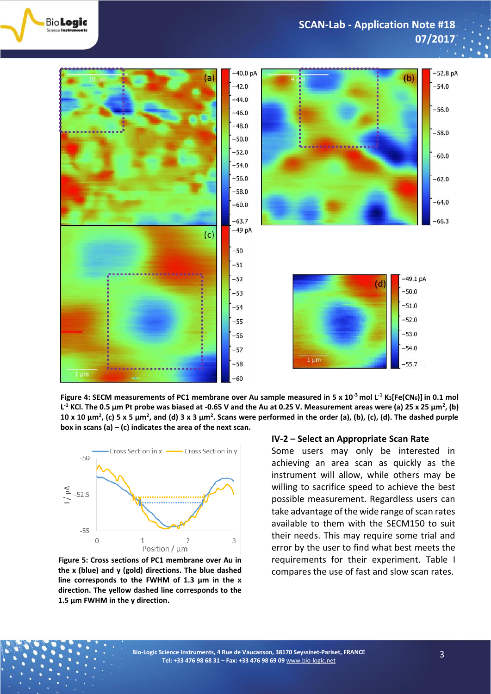

**SCAN-Lab - Application Note #18 07/2017**



**Figure 4: SECM measurements of PC1 membrane over Au sample measured in 5 x 10-3 mol L-1 K3[Fe(CN6)] in 0.1 mol L -1 KCl. The 0.5 µm Pt probe was biased at -0.65 V and the Au at 0.25 V. Measurement areas were (a) 25 x 25 µm<sup>2</sup> , (b) 10 x 10 µm<sup>2</sup> , (c) 5 x 5 µm<sup>2</sup> , and (d) 3 x 3 µm<sup>2</sup> . Scans were performed in the order (a), (b), (c), (d). The dashed purple box in scans (a) – (c) indicates the area of the next scan.** 



**Figure 5: Cross sections of PC1 membrane over Au in the x (blue) and y (gold) directions. The blue dashed line corresponds to the FWHM of 1.3 µm in the x direction. The yellow dashed line corresponds to the 1.5 µm FWHM in the y direction.**

#### **IV-2 – Select an Appropriate Scan Rate**

Some users may only be interested in achieving an area scan as quickly as the instrument will allow, while others may be willing to sacrifice speed to achieve the best possible measurement. Regardless users can take advantage of the wide range of scan rates available to them with the SECM150 to suit their needs. This may require some trial and error by the user to find what best meets the requirements for their experiment. Table I compares the use of fast and slow scan rates.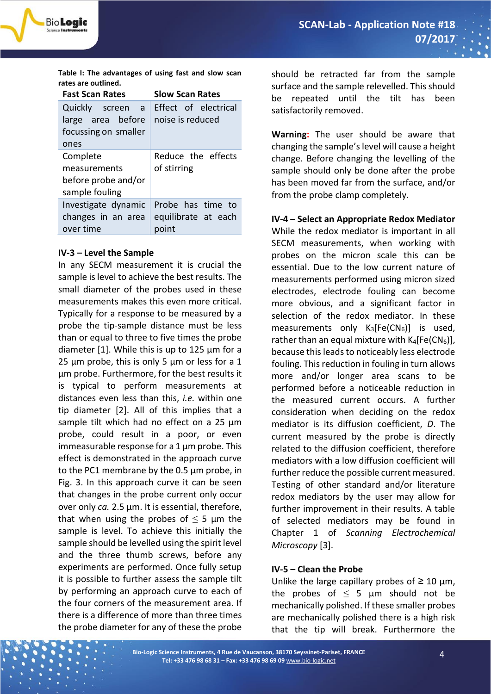

**Table I: The advantages of using fast and slow scan rates are outlined.** 

| <b>Fast Scan Rates</b>                                                     | <b>Slow Scan Rates</b>                   |
|----------------------------------------------------------------------------|------------------------------------------|
| Quickly screen<br>a a<br>large area before<br>focussing on smaller<br>ones | Effect of electrical<br>noise is reduced |
| Complete<br>measurements<br>before probe and/or<br>sample fouling          | Reduce the effects<br>of stirring        |
| Investigate dynamic<br>changes in an area<br>over time                     | Probe has time to<br>equilibrate at each |

### **IV-3 – Level the Sample**

In any SECM measurement it is crucial the sample is level to achieve the best results. The small diameter of the probes used in these measurements makes this even more critical. Typically for a response to be measured by a probe the tip-sample distance must be less than or equal to three to five times the probe diameter [1]. While this is up to 125 µm for a 25  $\mu$ m probe, this is only 5  $\mu$ m or less for a 1 µm probe. Furthermore, for the best results it is typical to perform measurements at distances even less than this, *i.e.* within one tip diameter [2]. All of this implies that a sample tilt which had no effect on a 25  $\mu$ m probe, could result in a poor, or even immeasurable response for a  $1 \mu m$  probe. This effect is demonstrated in the approach curve to the PC1 membrane by the 0.5 µm probe, in Fig. 3. In this approach curve it can be seen that changes in the probe current only occur over only *ca.* 2.5 µm. It is essential, therefore, that when using the probes of  $\leq$  5 µm the sample is level. To achieve this initially the sample should be levelled using the spirit level and the three thumb screws, before any experiments are performed. Once fully setup it is possible to further assess the sample tilt by performing an approach curve to each of the four corners of the measurement area. If there is a difference of more than three times the probe diameter for any of these the probe

should be retracted far from the sample surface and the sample relevelled. This should be repeated until the tilt has been satisfactorily removed.

**Warning:** The user should be aware that changing the sample's level will cause a height change. Before changing the levelling of the sample should only be done after the probe has been moved far from the surface, and/or from the probe clamp completely.

**IV-4 – Select an Appropriate Redox Mediator** While the redox mediator is important in all SECM measurements, when working with probes on the micron scale this can be essential. Due to the low current nature of measurements performed using micron sized electrodes, electrode fouling can become more obvious, and a significant factor in selection of the redox mediator. In these measurements only  $K_3[Fe(CN_6)]$  is used, rather than an equal mixture with  $K_4[Fe(CN_6)]$ , because this leads to noticeably less electrode fouling. This reduction in fouling in turn allows more and/or longer area scans to be performed before a noticeable reduction in the measured current occurs. A further consideration when deciding on the redox mediator is its diffusion coefficient, *D*. The current measured by the probe is directly related to the diffusion coefficient, therefore mediators with a low diffusion coefficient will further reduce the possible current measured. Testing of other standard and/or literature redox mediators by the user may allow for further improvement in their results. A table of selected mediators may be found in Chapter 1 of *Scanning Electrochemical Microscopy* [3].

### **IV-5 – Clean the Probe**

Unlike the large capillary probes of  $\geq 10$  µm, the probes of  $\leq$  5  $\mu$ m should not be mechanically polished. If these smaller probes are mechanically polished there is a high risk that the tip will break. Furthermore the